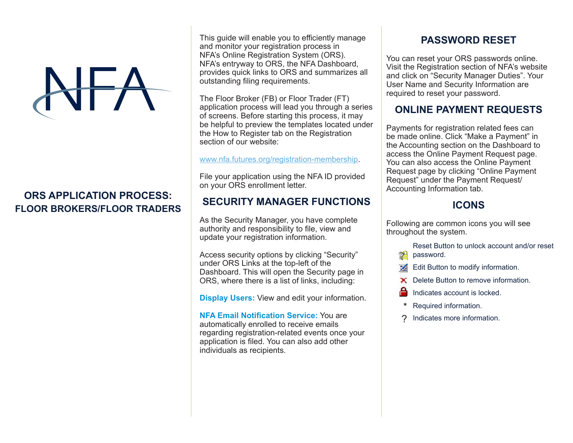### **ORS APPLICATION PROCESS: FLOOR BROKERS/FLOOR TRADERS**

This guide will enable you to efficiently manage and monitor your registration process in NFA's Online Registration System (ORS). NFA's entryway to ORS, the NFA Dashboard, provides quick links to ORS and summarizes all outstanding filing requirements.

The Floor Broker (FB) or Floor Trader (FT) application process will lead you through a series of screens. Before starting this process, it may be helpful to preview the templates located under the How to Register tab on the Registration section of our website:

www.nfa.futures.org/registration-membership.

File your application using the NFA ID provided on your ORS enrollment letter.

#### **SECURITY MANAGER FUNCTIONS**

As the Security Manager, you have complete authority and responsibility to file, view and update your registration information.

Access security options by clicking "Security" under ORS Links at the top-left of the Dashboard. This will open the Security page in ORS, where there is a list of links, including:

**Display Users:** View and edit your information.

**NFA Email Notification Service:** You are automatically enrolled to receive emails regarding registration-related events once your application is filed. You can also add other individuals as recipients.

## **PASSWORD RESET**

You can reset your ORS passwords online. Visit the Registration section of NFA's website and click on "Security Manager Duties". Your User Name and Security Information are required to reset your password.

## **ONLINE PAYMENT REQUESTS**

Payments for registration related fees can be made online. Click "Make a Payment" in the Accounting section on the Dashboard to access the Online Payment Request page. You can also access the Online Payment Request page by clicking "Online Payment Request" under the Payment Request/ Accounting Information tab.

# **ICONS**

Following are common icons you will see throughout the system.

> Reset Button to unlock account and/or reset password.

- $\leq$  Edit Button to modify information.
- ▶ Delete Button to remove information.
- Indicates account is locked.
- \* Required information.
- ? Indicates more information.